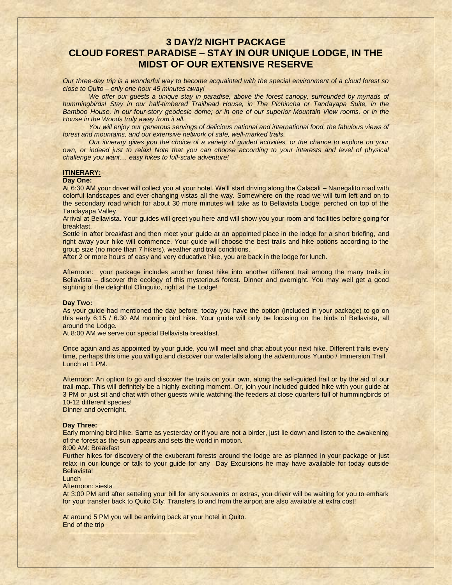# **3 DAY/2 NIGHT PACKAGE CLOUD FOREST PARADISE – STAY IN OUR UNIQUE LODGE, IN THE MIDST OF OUR EXTENSIVE RESERVE**

*Our three-day trip is a wonderful way to become acquainted with the special environment of a cloud forest so close to Quito – only one hour 45 minutes away!* 

*We offer our guests a unique stay in paradise, above the forest canopy, surrounded by myriads of hummingbirds! Stay in our half-timbered Trailhead House, in The Pichincha or Tandayapa Suite, in the Bamboo House, in our four-story geodesic dome; or in one of our superior Mountain View rooms, or in the House in the Woods truly away from it all.* 

You will enjoy our generous servings of delicious national and international food, the fabulous views of *forest and mountains, and our extensive network of safe, well-marked trails.*

*Our itinerary gives you the choice of a variety of guided activities, or the chance to explore on your own, or indeed just to relax! Note that you can choose according to your interests and level of physical challenge you want.... easy hikes to full-scale adventure!*

### **ITINERARY:**

### **Day One:**

At 6:30 AM your driver will collect you at your hotel. We'll start driving along the Calacali – Nanegalito road with colorful landscapes and ever-changing vistas all the way. Somewhere on the road we will turn left and on to the secondary road which for about 30 more minutes will take as to Bellavista Lodge, perched on top of the Tandayapa Valley.

Arrival at Bellavista. Your guides will greet you here and will show you your room and facilities before going for breakfast.

Settle in after breakfast and then meet your guide at an appointed place in the lodge for a short briefing, and right away your hike will commence. Your guide will choose the best trails and hike options according to the group size (no more than 7 hikers), weather and trail conditions.

After 2 or more hours of easy and very educative hike, you are back in the lodge for lunch.

Afternoon: your package includes another forest hike into another different trail among the many trails in Bellavista – discover the ecology of this mysterious forest. Dinner and overnight. You may well get a good sighting of the delightful Olinguito, right at the Lodge!

# **Day Two:**

As your guide had mentioned the day before, today you have the option (included in your package) to go on this early 6:15 / 6.30 AM morning bird hike. Your guide will only be focusing on the birds of Bellavista, all around the Lodge.

At 8:00 AM we serve our special Bellavista breakfast.

Once again and as appointed by your guide, you will meet and chat about your next hike. Different trails every time, perhaps this time you will go and discover our waterfalls along the adventurous Yumbo / Immersion Trail. Lunch at 1 PM.

Afternoon: An option to go and discover the trails on your own, along the self-guided trail or by the aid of our trail-map. This will definitely be a highly exciting moment. Or, join your included guided hike with your guide at 3 PM or just sit and chat with other guests while watching the feeders at close quarters full of hummingbirds of 10-12 different species! Dinner and overnight.

# **Day Three:**

Early morning bird hike. Same as yesterday or if you are not a birder, just lie down and listen to the awakening of the forest as the sun appears and sets the world in motion.

#### 8:00 AM: Breakfast

Further hikes for discovery of the exuberant forests around the lodge are as planned in your package or just relax in our lounge or talk to your guide for any Day Excursions he may have available for today outside Bellavista!

# Lunch

## Afternoon: siesta

At 3:00 PM and after setteling your bill for any souvenirs or extras, you driver will be waiting for you to embark for your transfer back to Quito City. Transfers to and from the airport are also available at extra cost!

At around 5 PM you will be arriving back at your hotel in Quito. End of the trip